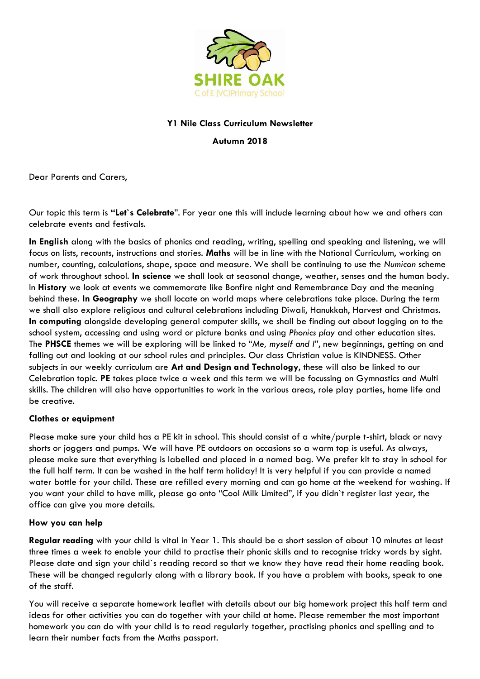

## **Y1 Nile Class Curriculum Newsletter**

**Autumn 2018**

Dear Parents and Carers,

Our topic this term is **"Let`s Celebrate**". For year one this will include learning about how we and others can celebrate events and festivals.

**In English** along with the basics of phonics and reading, writing, spelling and speaking and listening, we will focus on lists, recounts, instructions and stories. **Maths** will be in line with the National Curriculum, working on number, counting, calculations, shape, space and measure. We shall be continuing to use the *Numicon* scheme of work throughout school. **In science** we shall look at seasonal change, weather, senses and the human body. In **History** we look at events we commemorate like Bonfire night and Remembrance Day and the meaning behind these. **In Geography** we shall locate on world maps where celebrations take place. During the term we shall also explore religious and cultural celebrations including Diwali, Hanukkah, Harvest and Christmas. **In computing** alongside developing general computer skills, we shall be finding out about logging on to the school system, accessing and using word or picture banks and using *Phonics play* and other education sites. The **PHSCE** themes we will be exploring will be linked to "*Me, myself and I*", new beginnings, getting on and falling out and looking at our school rules and principles. Our class Christian value is KINDNESS. Other subjects in our weekly curriculum are **Art and Design and Technology**, these will also be linked to our Celebration topic. **PE** takes place twice a week and this term we will be focussing on Gymnastics and Multi skills. The children will also have opportunities to work in the various areas, role play parties, home life and be creative.

## **Clothes or equipment**

Please make sure your child has a PE kit in school. This should consist of a white/purple t-shirt, black or navy shorts or joggers and pumps. We will have PE outdoors on occasions so a warm top is useful. As always, please make sure that everything is labelled and placed in a named bag. We prefer kit to stay in school for the full half term. It can be washed in the half term holiday! It is very helpful if you can provide a named water bottle for your child. These are refilled every morning and can go home at the weekend for washing. If you want your child to have milk, please go onto "Cool Milk Limited", if you didn`t register last year, the office can give you more details.

## **How you can help**

**Regular reading** with your child is vital in Year 1. This should be a short session of about 10 minutes at least three times a week to enable your child to practise their phonic skills and to recognise tricky words by sight. Please date and sign your child`s reading record so that we know they have read their home reading book. These will be changed regularly along with a library book. If you have a problem with books, speak to one of the staff.

You will receive a separate homework leaflet with details about our big homework project this half term and ideas for other activities you can do together with your child at home. Please remember the most important homework you can do with your child is to read regularly together, practising phonics and spelling and to learn their number facts from the Maths passport.